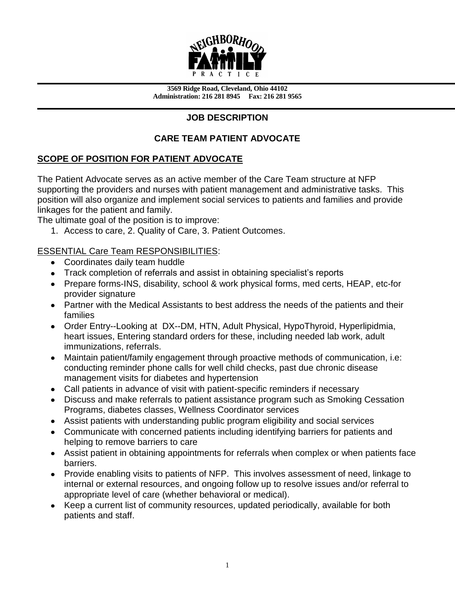

**3569 Ridge Road, Cleveland, Ohio 44102 Administration: 216 281 8945 Fax: 216 281 9565**

## **JOB DESCRIPTION**

# **CARE TEAM PATIENT ADVOCATE**

## **SCOPE OF POSITION FOR PATIENT ADVOCATE**

The Patient Advocate serves as an active member of the Care Team structure at NFP supporting the providers and nurses with patient management and administrative tasks. This position will also organize and implement social services to patients and families and provide linkages for the patient and family.

The ultimate goal of the position is to improve:

1. Access to care, 2. Quality of Care, 3. Patient Outcomes.

### ESSENTIAL Care Team RESPONSIBILITIES:

- Coordinates daily team huddle
- Track completion of referrals and assist in obtaining specialist's reports
- Prepare forms-INS, disability, school & work physical forms, med certs, HEAP, etc-for provider signature
- Partner with the Medical Assistants to best address the needs of the patients and their families
- Order Entry--Looking at DX--DM, HTN, Adult Physical, HypoThyroid, Hyperlipidmia, heart issues, Entering standard orders for these, including needed lab work, adult immunizations, referrals.
- Maintain patient/family engagement through proactive methods of communication, i.e: conducting reminder phone calls for well child checks, past due chronic disease management visits for diabetes and hypertension
- Call patients in advance of visit with patient-specific reminders if necessary
- Discuss and make referrals to patient assistance program such as Smoking Cessation Programs, diabetes classes, Wellness Coordinator services
- Assist patients with understanding public program eligibility and social services
- Communicate with concerned patients including identifying barriers for patients and helping to remove barriers to care
- Assist patient in obtaining appointments for referrals when complex or when patients face barriers.
- Provide enabling visits to patients of NFP. This involves assessment of need, linkage to internal or external resources, and ongoing follow up to resolve issues and/or referral to appropriate level of care (whether behavioral or medical).
- Keep a current list of community resources, updated periodically, available for both patients and staff.